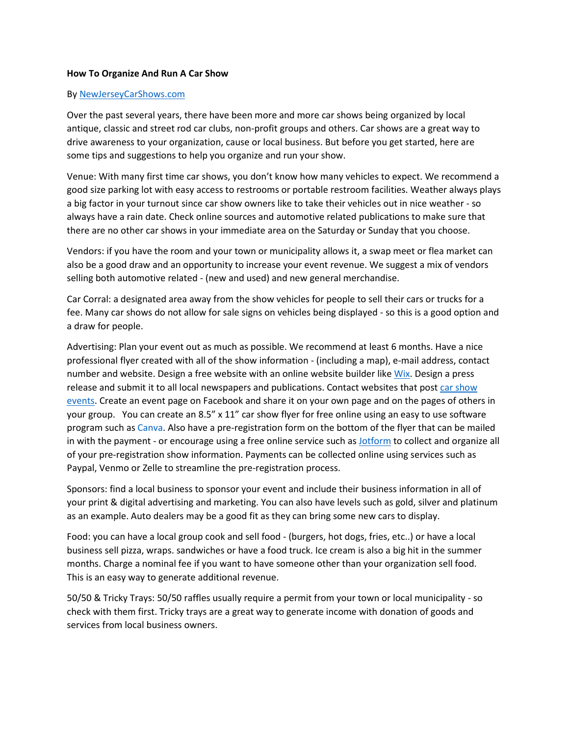## **How To Organize And Run A Car Show**

## B[y NewJerseyCarShows.com](https://newjerseycarshows.com/)

Over the past several years, there have been more and more car shows being organized by local antique, classic and street rod car clubs, non-profit groups and others. Car shows are a great way to drive awareness to your organization, cause or local business. But before you get started, here are some tips and suggestions to help you organize and run your show.

Venue: With many first time car shows, you don't know how many vehicles to expect. We recommend a good size parking lot with easy access to restrooms or portable restroom facilities. Weather always plays a big factor in your turnout since car show owners like to take their vehicles out in nice weather - so always have a rain date. Check online sources and automotive related publications to make sure that there are no other car shows in your immediate area on the Saturday or Sunday that you choose.

Vendors: if you have the room and your town or municipality allows it, a swap meet or flea market can also be a good draw and an opportunity to increase your event revenue. We suggest a mix of vendors selling both automotive related - (new and used) and new general merchandise.

Car Corral: a designated area away from the show vehicles for people to sell their cars or trucks for a fee. Many car shows do not allow for sale signs on vehicles being displayed - so this is a good option and a draw for people.

Advertising: Plan your event out as much as possible. We recommend at least 6 months. Have a nice professional flyer created with all of the show information - (including a map), e-mail address, contact number and website. Design a free website with an online website builder like [Wix.](https://wix.com/) Design a press release and submit it to all local newspapers and publications. Contact websites that pos[t car show](https://newjerseycarshows.com/)  [events.](https://newjerseycarshows.com/) Create an event page on Facebook and share it on your own page and on the pages of others in your group. You can create an 8.5" x 11" car show flyer for free online using an easy to use software program such as [Canva.](https://canva.com/) Also have a pre-registration form on the bottom of the flyer that can be mailed in with the payment - or encourage using a free online service such as [Jotform](https://jotform.com/) to collect and organize all of your pre-registration show information. Payments can be collected online using services such as Paypal, Venmo or Zelle to streamline the pre-registration process.

Sponsors: find a local business to sponsor your event and include their business information in all of your print & digital advertising and marketing. You can also have levels such as gold, silver and platinum as an example. Auto dealers may be a good fit as they can bring some new cars to display.

Food: you can have a local group cook and sell food - (burgers, hot dogs, fries, etc..) or have a local business sell pizza, wraps. sandwiches or have a food truck. Ice cream is also a big hit in the summer months. Charge a nominal fee if you want to have someone other than your organization sell food. This is an easy way to generate additional revenue.

50/50 & Tricky Trays: 50/50 raffles usually require a permit from your town or local municipality - so check with them first. Tricky trays are a great way to generate income with donation of goods and services from local business owners.